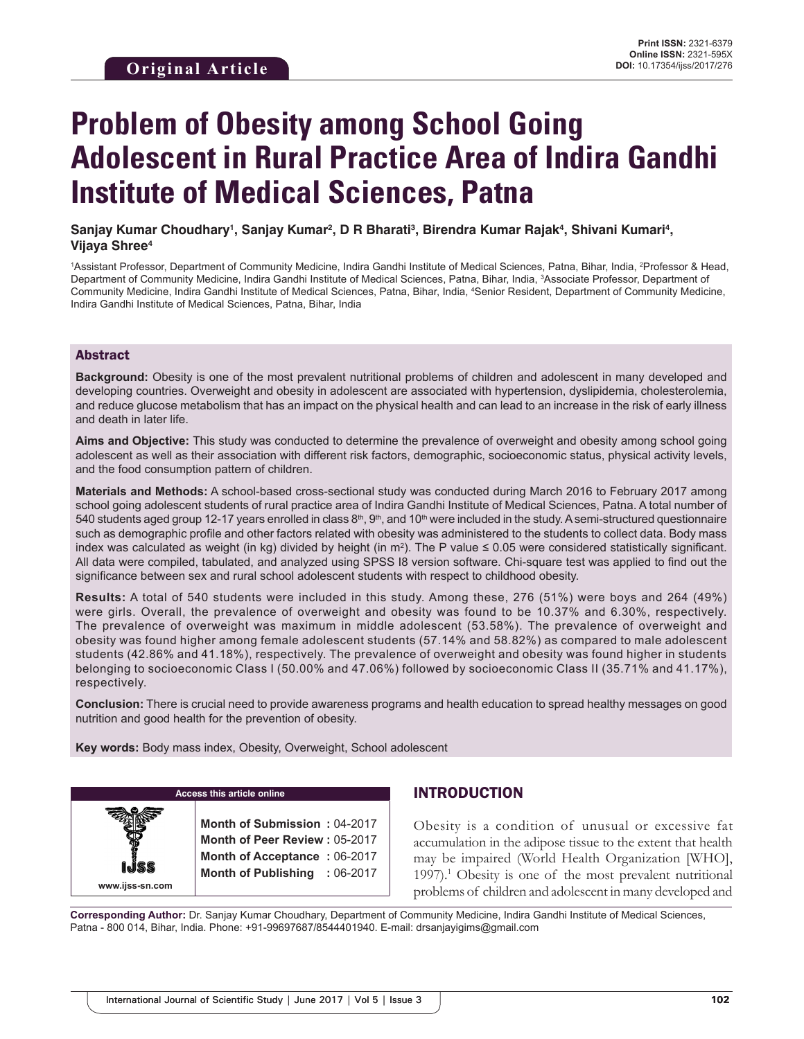# **Problem of Obesity among School Going Adolescent in Rural Practice Area of Indira Gandhi Institute of Medical Sciences, Patna**

#### Sanjay Kumar Choudhary<sup>ı</sup>, Sanjay Kumar<sup>2</sup>, D R Bharati<sup>3</sup>, Birendra Kumar Rajak<sup>4</sup>, Shivani Kumari<sup>4</sup>, **Vijaya Shree4**

<sup>1</sup>Assistant Professor, Department of Community Medicine, Indira Gandhi Institute of Medical Sciences, Patna, Bihar, India, <sup>2</sup>Professor & Head, Department of Community Medicine, Indira Gandhi Institute of Medical Sciences, Patna, Bihar, India, 3 Associate Professor, Department of Community Medicine, Indira Gandhi Institute of Medical Sciences, Patna, Bihar, India, 4 Senior Resident, Department of Community Medicine, Indira Gandhi Institute of Medical Sciences, Patna, Bihar, India

### Abstract

**Background:** Obesity is one of the most prevalent nutritional problems of children and adolescent in many developed and developing countries. Overweight and obesity in adolescent are associated with hypertension, dyslipidemia, cholesterolemia, and reduce glucose metabolism that has an impact on the physical health and can lead to an increase in the risk of early illness and death in later life.

**Aims and Objective:** This study was conducted to determine the prevalence of overweight and obesity among school going adolescent as well as their association with different risk factors, demographic, socioeconomic status, physical activity levels, and the food consumption pattern of children.

**Materials and Methods:** A school-based cross-sectional study was conducted during March 2016 to February 2017 among school going adolescent students of rural practice area of Indira Gandhi Institute of Medical Sciences, Patna. A total number of 540 students aged group 12-17 years enrolled in class  $8<sup>th</sup>$ ,  $9<sup>th</sup>$ , and 10<sup>th</sup> were included in the study. A semi-structured questionnaire such as demographic profile and other factors related with obesity was administered to the students to collect data. Body mass index was calculated as weight (in kg) divided by height (in m2 ). The P value ≤ 0.05 were considered statistically significant. All data were compiled, tabulated, and analyzed using SPSS I8 version software. Chi-square test was applied to find out the significance between sex and rural school adolescent students with respect to childhood obesity.

**Results:** A total of 540 students were included in this study. Among these, 276 (51%) were boys and 264 (49%) were girls. Overall, the prevalence of overweight and obesity was found to be 10.37% and 6.30%, respectively. The prevalence of overweight was maximum in middle adolescent (53.58%). The prevalence of overweight and obesity was found higher among female adolescent students (57.14% and 58.82%) as compared to male adolescent students (42.86% and 41.18%), respectively. The prevalence of overweight and obesity was found higher in students belonging to socioeconomic Class I (50.00% and 47.06%) followed by socioeconomic Class II (35.71% and 41.17%), respectively.

**Conclusion:** There is crucial need to provide awareness programs and health education to spread healthy messages on good nutrition and good health for the prevention of obesity.

**Key words:** Body mass index, Obesity, Overweight, School adolescent

**www.ijss-sn.com**

**Access this article online**

**Month of Submission :** 04-2017 **Month of Peer Review :** 05-2017 **Month of Acceptance :** 06-2017 **Month of Publishing :** 06-2017

# INTRODUCTION

Obesity is a condition of unusual or excessive fat accumulation in the adipose tissue to the extent that health may be impaired (World Health Organization [WHO], 1997).1 Obesity is one of the most prevalent nutritional problems of children and adolescent in many developed and

**Corresponding Author:** Dr. Sanjay Kumar Choudhary, Department of Community Medicine, Indira Gandhi Institute of Medical Sciences, Patna - 800 014, Bihar, India. Phone: +91-99697687/8544401940. E-mail: drsanjayigims@gmail.com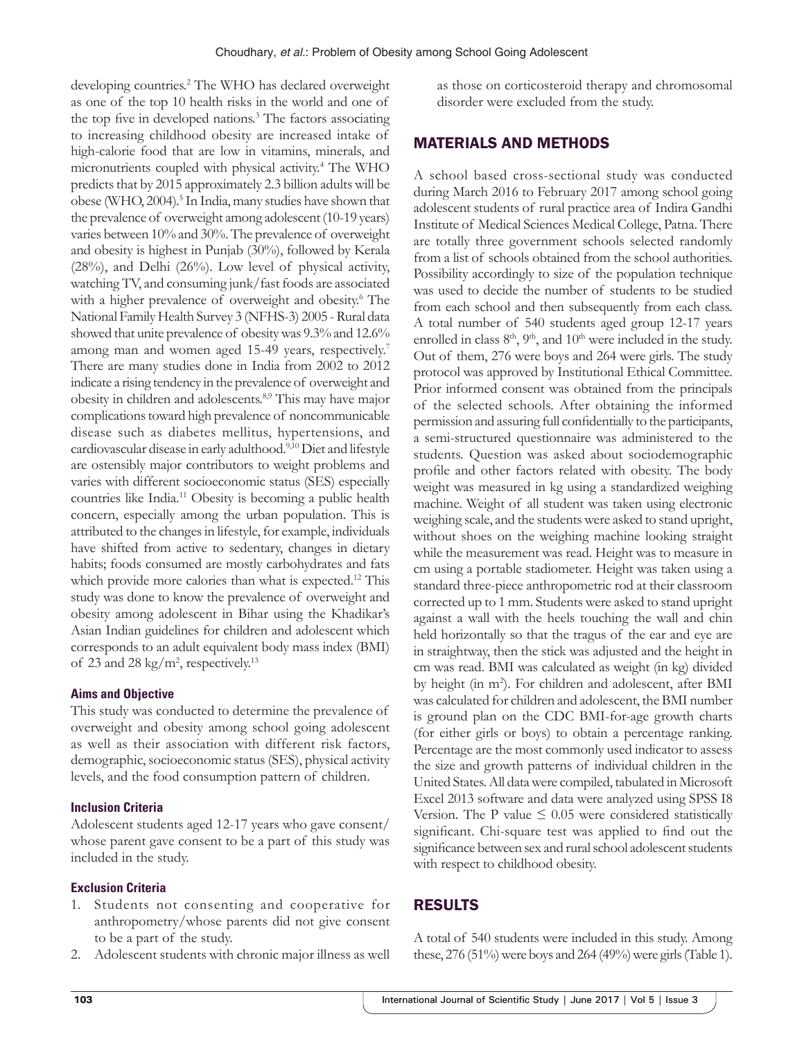developing countries.2 The WHO has declared overweight as one of the top 10 health risks in the world and one of the top five in developed nations.<sup>3</sup> The factors associating to increasing childhood obesity are increased intake of high-calorie food that are low in vitamins, minerals, and micronutrients coupled with physical activity.4 The WHO predicts that by 2015 approximately 2.3 billion adults will be obese (WHO, 2004).<sup>5</sup> In India, many studies have shown that the prevalence of overweight among adolescent (10-19 years) varies between 10% and 30%. The prevalence of overweight and obesity is highest in Punjab (30%), followed by Kerala (28%), and Delhi (26%). Low level of physical activity, watching TV, and consuming junk/fast foods are associated with a higher prevalence of overweight and obesity.<sup>6</sup> The National Family Health Survey 3 (NFHS-3) 2005 - Rural data showed that unite prevalence of obesity was 9.3% and 12.6% among man and women aged 15-49 years, respectively.<sup>7</sup> There are many studies done in India from 2002 to 2012 indicate a rising tendency in the prevalence of overweight and obesity in children and adolescents.8,9 This may have major complications toward high prevalence of noncommunicable disease such as diabetes mellitus, hypertensions, and cardiovascular disease in early adulthood.9,10 Diet and lifestyle are ostensibly major contributors to weight problems and varies with different socioeconomic status (SES) especially countries like India.11 Obesity is becoming a public health concern, especially among the urban population. This is attributed to the changes in lifestyle, for example, individuals have shifted from active to sedentary, changes in dietary habits; foods consumed are mostly carbohydrates and fats which provide more calories than what is expected.<sup>12</sup> This study was done to know the prevalence of overweight and obesity among adolescent in Bihar using the Khadikar's Asian Indian guidelines for children and adolescent which corresponds to an adult equivalent body mass index (BMI) of 23 and 28 kg/m<sup>2</sup>, respectively.<sup>13</sup>

#### **Aims and Objective**

This study was conducted to determine the prevalence of overweight and obesity among school going adolescent as well as their association with different risk factors, demographic, socioeconomic status (SES), physical activity levels, and the food consumption pattern of children.

#### **Inclusion Criteria**

Adolescent students aged 12-17 years who gave consent/ whose parent gave consent to be a part of this study was included in the study.

#### **Exclusion Criteria**

- 1. Students not consenting and cooperative for anthropometry/whose parents did not give consent to be a part of the study.
- 2. Adolescent students with chronic major illness as well

as those on corticosteroid therapy and chromosomal disorder were excluded from the study.

## MATERIALS AND METHODS

A school based cross-sectional study was conducted during March 2016 to February 2017 among school going adolescent students of rural practice area of Indira Gandhi Institute of Medical Sciences Medical College, Patna. There are totally three government schools selected randomly from a list of schools obtained from the school authorities. Possibility accordingly to size of the population technique was used to decide the number of students to be studied from each school and then subsequently from each class. A total number of 540 students aged group 12-17 years enrolled in class  $8<sup>th</sup>$ ,  $9<sup>th</sup>$ , and  $10<sup>th</sup>$  were included in the study. Out of them, 276 were boys and 264 were girls. The study protocol was approved by Institutional Ethical Committee. Prior informed consent was obtained from the principals of the selected schools. After obtaining the informed permission and assuring full confidentially to the participants, a semi-structured questionnaire was administered to the students. Question was asked about sociodemographic profile and other factors related with obesity. The body weight was measured in kg using a standardized weighing machine. Weight of all student was taken using electronic weighing scale, and the students were asked to stand upright, without shoes on the weighing machine looking straight while the measurement was read. Height was to measure in cm using a portable stadiometer. Height was taken using a standard three-piece anthropometric rod at their classroom corrected up to 1 mm. Students were asked to stand upright against a wall with the heels touching the wall and chin held horizontally so that the tragus of the ear and eye are in straightway, then the stick was adjusted and the height in cm was read. BMI was calculated as weight (in kg) divided by height (in m<sup>2</sup>). For children and adolescent, after BMI was calculated for children and adolescent, the BMI number is ground plan on the CDC BMI-for-age growth charts (for either girls or boys) to obtain a percentage ranking. Percentage are the most commonly used indicator to assess the size and growth patterns of individual children in the United States. All data were compiled, tabulated in Microsoft Excel 2013 software and data were analyzed using SPSS I8 Version. The P value  $\leq 0.05$  were considered statistically significant. Chi-square test was applied to find out the significance between sex and rural school adolescent students with respect to childhood obesity.

# RESULTS

A total of 540 students were included in this study. Among these, 276 (51%) were boys and 264 (49%) were girls (Table 1).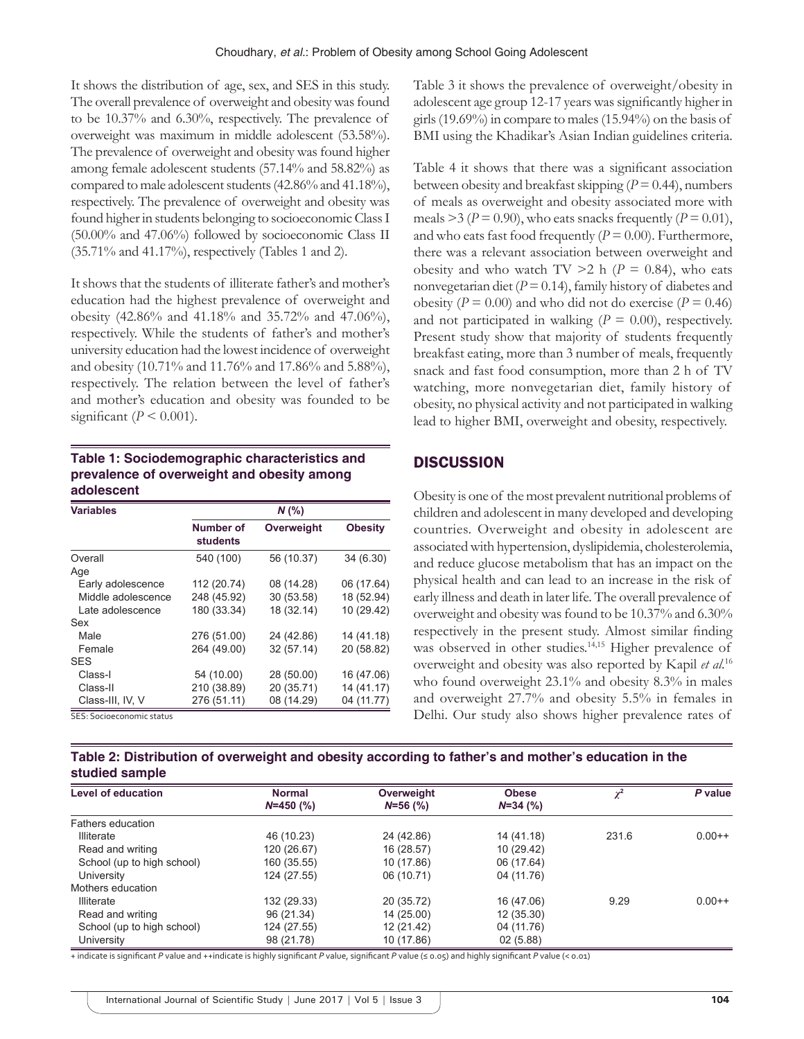It shows the distribution of age, sex, and SES in this study. The overall prevalence of overweight and obesity was found to be 10.37% and 6.30%, respectively. The prevalence of overweight was maximum in middle adolescent (53.58%). The prevalence of overweight and obesity was found higher among female adolescent students (57.14% and 58.82%) as compared to male adolescent students (42.86% and 41.18%), respectively. The prevalence of overweight and obesity was found higher in students belonging to socioeconomic Class I (50.00% and 47.06%) followed by socioeconomic Class II (35.71% and 41.17%), respectively (Tables 1 and 2).

It shows that the students of illiterate father's and mother's education had the highest prevalence of overweight and obesity (42.86% and 41.18% and 35.72% and 47.06%), respectively. While the students of father's and mother's university education had the lowest incidence of overweight and obesity (10.71% and 11.76% and 17.86% and 5.88%), respectively. The relation between the level of father's and mother's education and obesity was founded to be significant ( $P \le 0.001$ ).

## **Table 1: Sociodemographic characteristics and prevalence of overweight and obesity among adolescent**

| <b>Variables</b>   | $N$ (%)               |            |                |  |
|--------------------|-----------------------|------------|----------------|--|
|                    | Number of<br>students | Overweight | <b>Obesity</b> |  |
| Overall            | 540 (100)             | 56 (10.37) | 34 (6.30)      |  |
| Age                |                       |            |                |  |
| Early adolescence  | 112 (20.74)           | 08 (14.28) | 06 (17.64)     |  |
| Middle adolescence | 248 (45.92)           | 30 (53.58) | 18 (52.94)     |  |
| Late adolescence   | 180 (33.34)           | 18 (32.14) | 10 (29.42)     |  |
| Sex                |                       |            |                |  |
| Male               | 276 (51.00)           | 24 (42.86) | 14 (41.18)     |  |
| Female             | 264 (49.00)           | 32 (57.14) | 20 (58.82)     |  |
| <b>SES</b>         |                       |            |                |  |
| Class-I            | 54 (10.00)            | 28 (50.00) | 16 (47.06)     |  |
| Class-II           | 210 (38.89)           | 20 (35.71) | 14 (41.17)     |  |
| Class-III, IV, V   | 276 (51.11)           | 08 (14.29) | 04 (11.77)     |  |

SES: Socioeconomic status

Table 3 it shows the prevalence of overweight/obesity in adolescent age group 12-17 years was significantly higher in girls (19.69%) in compare to males (15.94%) on the basis of BMI using the Khadikar's Asian Indian guidelines criteria.

Table 4 it shows that there was a significant association between obesity and breakfast skipping  $(P = 0.44)$ , numbers of meals as overweight and obesity associated more with meals  $>3 (P = 0.90)$ , who eats snacks frequently  $(P = 0.01)$ , and who eats fast food frequently  $(P = 0.00)$ . Furthermore, there was a relevant association between overweight and obesity and who watch TV  $>2$  h ( $P = 0.84$ ), who eats nonvegetarian diet  $(P = 0.14)$ , family history of diabetes and obesity ( $P = 0.00$ ) and who did not do exercise ( $P = 0.46$ ) and not participated in walking  $(P = 0.00)$ , respectively. Present study show that majority of students frequently breakfast eating, more than 3 number of meals, frequently snack and fast food consumption, more than 2 h of TV watching, more nonvegetarian diet, family history of obesity, no physical activity and not participated in walking lead to higher BMI, overweight and obesity, respectively.

## **DISCUSSION**

Obesity is one of the most prevalent nutritional problems of children and adolescent in many developed and developing countries. Overweight and obesity in adolescent are associated with hypertension, dyslipidemia, cholesterolemia, and reduce glucose metabolism that has an impact on the physical health and can lead to an increase in the risk of early illness and death in later life. The overall prevalence of overweight and obesity was found to be 10.37% and 6.30% respectively in the present study. Almost similar finding was observed in other studies.<sup>14,15</sup> Higher prevalence of overweight and obesity was also reported by Kapil *et al*. 16 who found overweight 23.1% and obesity 8.3% in males and overweight 27.7% and obesity 5.5% in females in Delhi. Our study also shows higher prevalence rates of

**Table 2: Distribution of overweight and obesity according to father's and mother's education in the studied sample**

| <b>Level of education</b>  | <b>Normal</b><br>$N=450$ (%) | Overweight<br>$N=56$ (%) | <b>Obese</b><br>$N=34$ (%) | ν     | P value  |
|----------------------------|------------------------------|--------------------------|----------------------------|-------|----------|
|                            |                              |                          |                            |       |          |
| <b>Illiterate</b>          | 46 (10.23)                   | 24 (42.86)               | 14 (41.18)                 | 231.6 | $0.00++$ |
| Read and writing           | 120 (26.67)                  | 16 (28.57)               | 10 (29.42)                 |       |          |
| School (up to high school) | 160 (35.55)                  | 10 (17.86)               | 06 (17.64)                 |       |          |
| University                 | 124 (27.55)                  | 06 (10.71)               | 04 (11.76)                 |       |          |
| Mothers education          |                              |                          |                            |       |          |
| <b>Illiterate</b>          | 132 (29.33)                  | 20 (35.72)               | 16 (47.06)                 | 9.29  | $0.00++$ |
| Read and writing           | 96 (21.34)                   | 14 (25.00)               | 12 (35.30)                 |       |          |
| School (up to high school) | 124 (27.55)                  | 12 (21.42)               | 04 (11.76)                 |       |          |
| University                 | 98 (21.78)                   | 10 (17.86)               | 02(5.88)                   |       |          |

+ indicate is significant *P* value and ++indicate is highly significant *P* value, significant *P* value (≤ 0.05) and highly significant *P* value (< 0.01)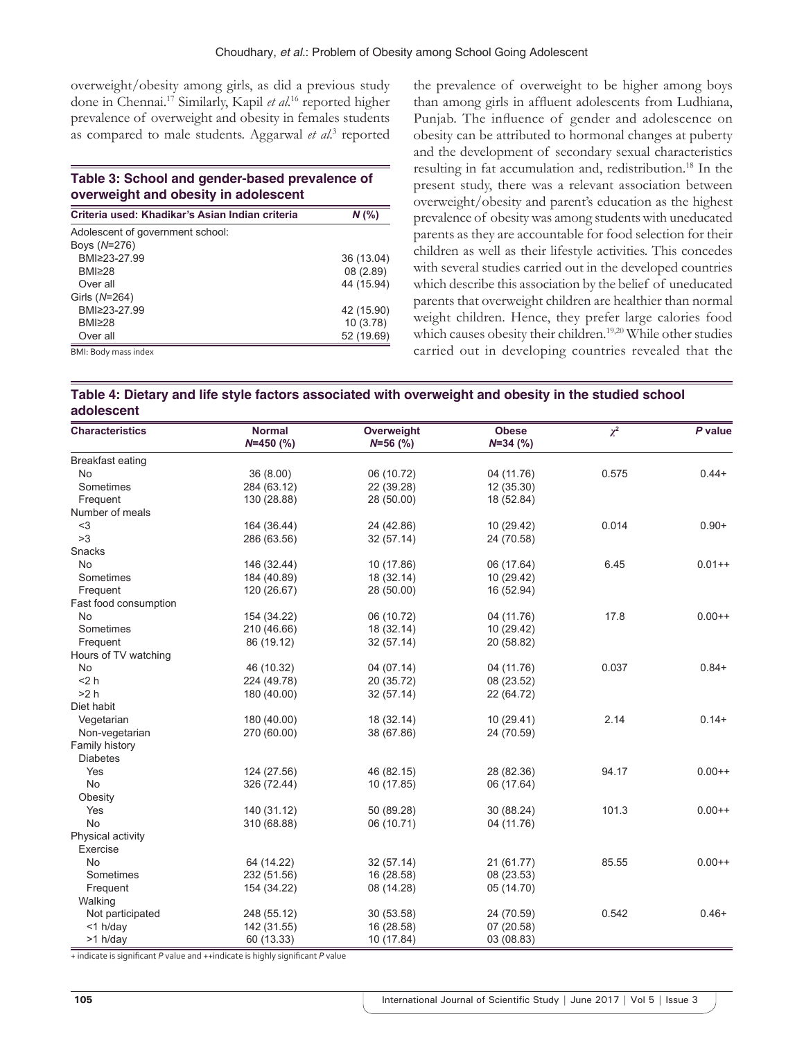overweight/obesity among girls, as did a previous study done in Chennai.17 Similarly, Kapil *et al*. 16 reported higher prevalence of overweight and obesity in females students as compared to male students. Aggarwal et al.<sup>3</sup> reported

#### **Table 3: School and gender‑based prevalence of overweight and obesity in adolescent**

| Criteria used: Khadikar's Asian Indian criteria | $N$ (%)    |  |
|-------------------------------------------------|------------|--|
| Adolescent of government school:                |            |  |
| Boys (N=276)                                    |            |  |
| BMI≥23-27.99                                    | 36 (13.04) |  |
| BMI≥28                                          | 08(2.89)   |  |
| Over all                                        | 44 (15.94) |  |
| Girls (N=264)                                   |            |  |
| BMI≥23-27.99                                    | 42 (15.90) |  |
| BMI≥28                                          | 10(3.78)   |  |
| Over all                                        | 52 (19.69) |  |
| BMI: Body mass index                            |            |  |

the prevalence of overweight to be higher among boys than among girls in affluent adolescents from Ludhiana, Punjab. The influence of gender and adolescence on obesity can be attributed to hormonal changes at puberty and the development of secondary sexual characteristics resulting in fat accumulation and, redistribution.<sup>18</sup> In the present study, there was a relevant association between overweight/obesity and parent's education as the highest prevalence of obesity was among students with uneducated parents as they are accountable for food selection for their children as well as their lifestyle activities. This concedes with several studies carried out in the developed countries which describe this association by the belief of uneducated parents that overweight children are healthier than normal weight children. Hence, they prefer large calories food which causes obesity their children.<sup>19,20</sup> While other studies carried out in developing countries revealed that the

| Table 4: Dietary and life style factors associated with overweight and obesity in the studied school |  |
|------------------------------------------------------------------------------------------------------|--|
| adolescent                                                                                           |  |

| <b>Characteristics</b> | <b>Normal</b> | Overweight | <b>Obese</b> | $\chi^2$ | P value  |
|------------------------|---------------|------------|--------------|----------|----------|
|                        | $N=450$ (%)   | $N=56$ (%) | $N=34$ (%)   |          |          |
| Breakfast eating       |               |            |              |          |          |
| <b>No</b>              | 36 (8.00)     | 06 (10.72) | 04 (11.76)   | 0.575    | $0.44 +$ |
| Sometimes              | 284 (63.12)   | 22 (39.28) | 12 (35.30)   |          |          |
| Frequent               | 130 (28.88)   | 28 (50.00) | 18 (52.84)   |          |          |
| Number of meals        |               |            |              |          |          |
| $3$                    | 164 (36.44)   | 24 (42.86) | 10 (29.42)   | 0.014    | $0.90+$  |
| >3                     | 286 (63.56)   | 32 (57.14) | 24 (70.58)   |          |          |
| Snacks                 |               |            |              |          |          |
| <b>No</b>              | 146 (32.44)   | 10 (17.86) | 06 (17.64)   | 6.45     | $0.01++$ |
| Sometimes              | 184 (40.89)   | 18 (32.14) | 10 (29.42)   |          |          |
| Frequent               | 120 (26.67)   | 28 (50.00) | 16 (52.94)   |          |          |
| Fast food consumption  |               |            |              |          |          |
| No                     | 154 (34.22)   | 06 (10.72) | 04 (11.76)   | 17.8     | $0.00++$ |
| Sometimes              | 210 (46.66)   | 18 (32.14) | 10 (29.42)   |          |          |
| Frequent               | 86 (19.12)    | 32 (57.14) | 20 (58.82)   |          |          |
| Hours of TV watching   |               |            |              |          |          |
| <b>No</b>              | 46 (10.32)    | 04 (07.14) | 04 (11.76)   | 0.037    | $0.84+$  |
| $<$ 2 $h$              | 224 (49.78)   | 20 (35.72) | 08 (23.52)   |          |          |
| >2 h                   | 180 (40.00)   | 32 (57.14) | 22 (64.72)   |          |          |
| Diet habit             |               |            |              |          |          |
| Vegetarian             | 180 (40.00)   | 18 (32.14) | 10 (29.41)   | 2.14     | $0.14+$  |
| Non-vegetarian         | 270 (60.00)   | 38 (67.86) | 24 (70.59)   |          |          |
| Family history         |               |            |              |          |          |
| <b>Diabetes</b>        |               |            |              |          |          |
| Yes                    | 124 (27.56)   | 46 (82.15) | 28 (82.36)   | 94.17    | $0.00++$ |
| <b>No</b>              | 326 (72.44)   | 10 (17.85) | 06 (17.64)   |          |          |
| Obesity                |               |            |              |          |          |
| Yes                    | 140 (31.12)   | 50 (89.28) | 30 (88.24)   | 101.3    | $0.00++$ |
| <b>No</b>              | 310 (68.88)   | 06 (10.71) | 04 (11.76)   |          |          |
| Physical activity      |               |            |              |          |          |
| Exercise               |               |            |              |          |          |
| <b>No</b>              | 64 (14.22)    | 32 (57.14) | 21 (61.77)   | 85.55    | $0.00++$ |
| Sometimes              | 232 (51.56)   | 16 (28.58) | 08 (23.53)   |          |          |
| Frequent               | 154 (34.22)   | 08 (14.28) | 05 (14.70)   |          |          |
| Walking                |               |            |              |          |          |
| Not participated       | 248 (55.12)   | 30 (53.58) | 24 (70.59)   | 0.542    | $0.46+$  |
| $<$ 1 h/day            | 142 (31.55)   | 16 (28.58) | 07 (20.58)   |          |          |
| >1 h/day               | 60 (13.33)    | 10 (17.84) | 03 (08.83)   |          |          |

+ indicate is significant *P* value and ++indicate is highly significant *P* value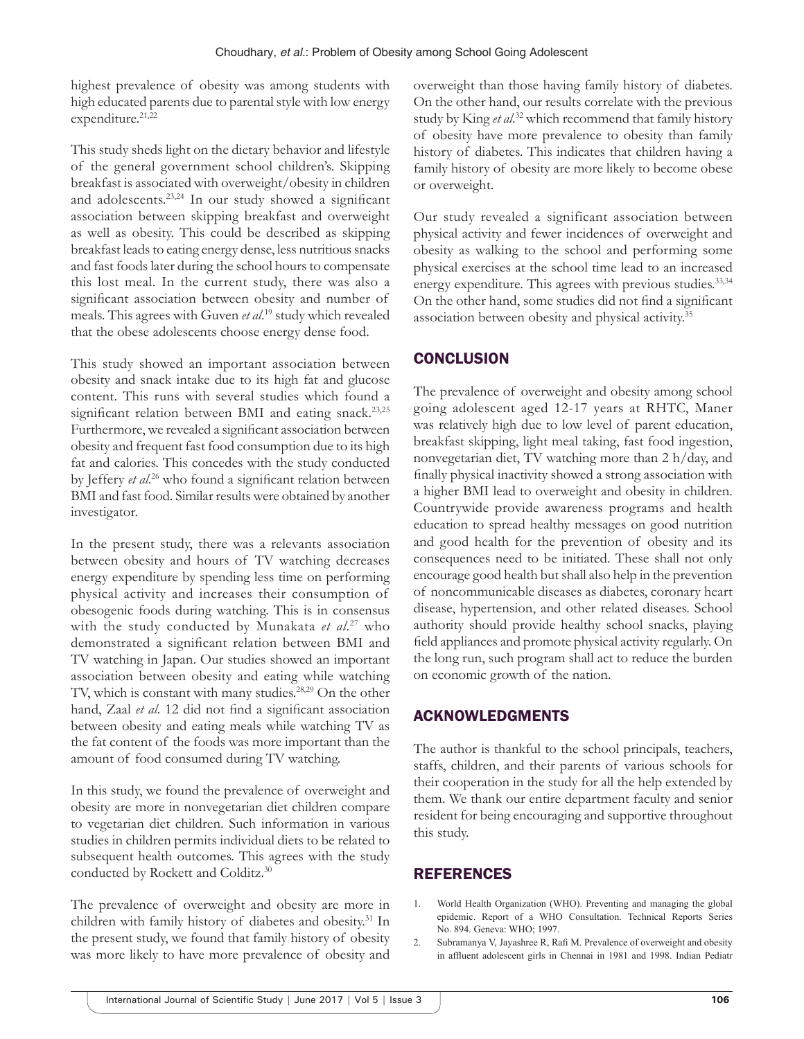highest prevalence of obesity was among students with high educated parents due to parental style with low energy expenditure.<sup>21,22</sup>

This study sheds light on the dietary behavior and lifestyle of the general government school children's. Skipping breakfast is associated with overweight/obesity in children and adolescents.23,24 In our study showed a significant association between skipping breakfast and overweight as well as obesity. This could be described as skipping breakfast leads to eating energy dense, less nutritious snacks and fast foods later during the school hours to compensate this lost meal. In the current study, there was also a significant association between obesity and number of meals. This agrees with Guven *et al*. 19 study which revealed that the obese adolescents choose energy dense food.

This study showed an important association between obesity and snack intake due to its high fat and glucose content. This runs with several studies which found a significant relation between BMI and eating snack.<sup>23,25</sup> Furthermore, we revealed a significant association between obesity and frequent fast food consumption due to its high fat and calories. This concedes with the study conducted by Jeffery *et al*. <sup>26</sup> who found a significant relation between BMI and fast food. Similar results were obtained by another investigator.

In the present study, there was a relevants association between obesity and hours of TV watching decreases energy expenditure by spending less time on performing physical activity and increases their consumption of obesogenic foods during watching. This is in consensus with the study conducted by Munakata *et al*. 27 who demonstrated a significant relation between BMI and TV watching in Japan. Our studies showed an important association between obesity and eating while watching TV, which is constant with many studies.<sup>28,29</sup> On the other hand, Zaal *et al*. 12 did not find a significant association between obesity and eating meals while watching TV as the fat content of the foods was more important than the amount of food consumed during TV watching.

In this study, we found the prevalence of overweight and obesity are more in nonvegetarian diet children compare to vegetarian diet children. Such information in various studies in children permits individual diets to be related to subsequent health outcomes. This agrees with the study conducted by Rockett and Colditz.30

The prevalence of overweight and obesity are more in children with family history of diabetes and obesity.<sup>31</sup> In the present study, we found that family history of obesity was more likely to have more prevalence of obesity and overweight than those having family history of diabetes. On the other hand, our results correlate with the previous study by King *et al*. 32 which recommend that family history of obesity have more prevalence to obesity than family history of diabetes. This indicates that children having a family history of obesity are more likely to become obese or overweight.

Our study revealed a significant association between physical activity and fewer incidences of overweight and obesity as walking to the school and performing some physical exercises at the school time lead to an increased energy expenditure. This agrees with previous studies.<sup>33,34</sup> On the other hand, some studies did not find a significant association between obesity and physical activity.35

# **CONCLUSION**

The prevalence of overweight and obesity among school going adolescent aged 12-17 years at RHTC, Maner was relatively high due to low level of parent education, breakfast skipping, light meal taking, fast food ingestion, nonvegetarian diet, TV watching more than 2 h/day, and finally physical inactivity showed a strong association with a higher BMI lead to overweight and obesity in children. Countrywide provide awareness programs and health education to spread healthy messages on good nutrition and good health for the prevention of obesity and its consequences need to be initiated. These shall not only encourage good health but shall also help in the prevention of noncommunicable diseases as diabetes, coronary heart disease, hypertension, and other related diseases. School authority should provide healthy school snacks, playing field appliances and promote physical activity regularly. On the long run, such program shall act to reduce the burden on economic growth of the nation.

# ACKNOWLEDGMENTS

The author is thankful to the school principals, teachers, staffs, children, and their parents of various schools for their cooperation in the study for all the help extended by them. We thank our entire department faculty and senior resident for being encouraging and supportive throughout this study.

# REFERENCES

- World Health Organization (WHO). Preventing and managing the global epidemic. Report of a WHO Consultation. Technical Reports Series No. 894. Geneva: WHO; 1997.
- 2. Subramanya V, Jayashree R, Rafi M. Prevalence of overweight and obesity in affluent adolescent girls in Chennai in 1981 and 1998. Indian Pediatr